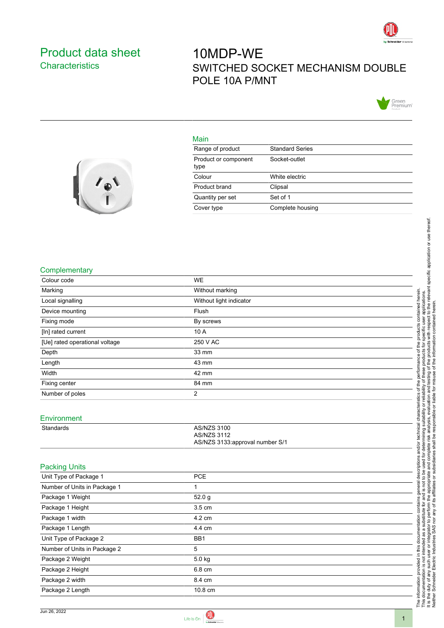

## <span id="page-0-0"></span>Product data sheet **Characteristics**

# 10MDP-WE SWITCHED SOCKET MECHANISM DOUBLE POLE 10A P/MNT



#### Main

| Range of product             | <b>Standard Series</b> |
|------------------------------|------------------------|
| Product or component<br>type | Socket-outlet          |
| Colour                       | White electric         |
| Product brand                | Clipsal                |
| Quantity per set             | Set of 1               |
| Cover type                   | Complete housing       |



#### **Complementary**

| Colour code                    | <b>WE</b>                                                                   |
|--------------------------------|-----------------------------------------------------------------------------|
| Marking                        | Without marking                                                             |
| Local signalling               | Without light indicator                                                     |
| Device mounting                | Flush                                                                       |
| Fixing mode                    | By screws                                                                   |
| [In] rated current             | 10 A                                                                        |
| [Ue] rated operational voltage | 250 V AC                                                                    |
| Depth                          | 33 mm                                                                       |
| Length                         | 43 mm                                                                       |
| Width                          | 42 mm                                                                       |
| Fixing center                  | 84 mm                                                                       |
| Number of poles                | $\overline{2}$                                                              |
|                                |                                                                             |
| Environment                    |                                                                             |
| Standards                      | <b>AS/NZS 3100</b><br><b>AS/NZS 3112</b><br>AS/NZS 3133:approval number S/1 |
| <b>Packing Units</b>           |                                                                             |
| Unit Type of Package 1         | <b>PCE</b>                                                                  |
| Number of Units in Package 1   | $\mathbf{1}$                                                                |
| Package 1 Weight               | 52.0 g                                                                      |
| Package 1 Height               | 3.5 cm                                                                      |
| Package 1 width                | 4.2 cm                                                                      |
| Package 1 Length               | 4.4 cm                                                                      |
| Unit Type of Package 2         | BB1                                                                         |
| Number of Units in Package 2   | 5                                                                           |
| Package 2 Weight               | 5.0 kg                                                                      |
| Package 2 Height               | 6.8 cm                                                                      |
| Package 2 width                | 8.4 cm                                                                      |
| Package 2 Length               | 10.8 cm                                                                     |